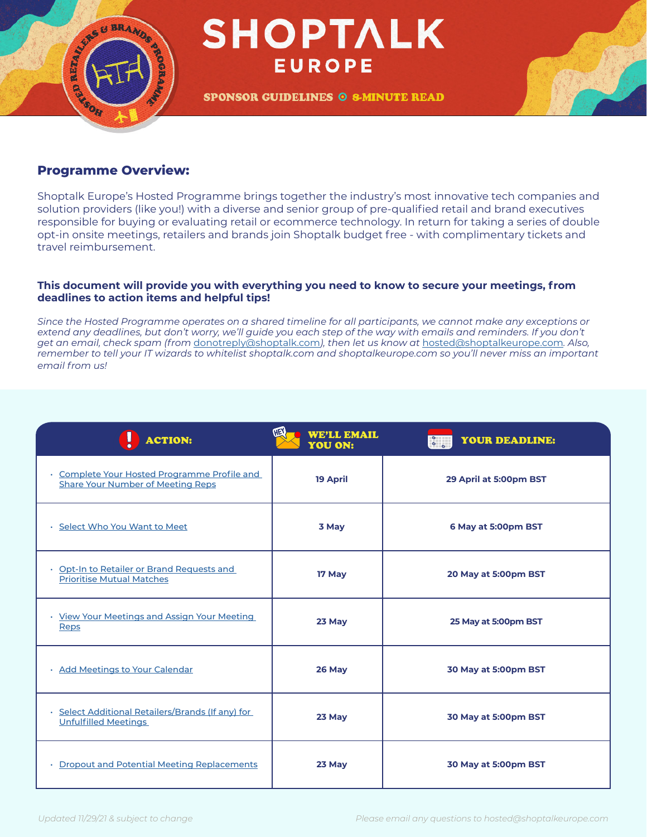

#### **Programme Overview:**

Shoptalk Europe's Hosted Programme brings together the industry's most innovative tech companies and solution providers (like you!) with a diverse and senior group of pre-qualified retail and brand executives responsible for buying or evaluating retail or ecommerce technology. In return for taking a series of double opt-in onsite meetings, retailers and brands join Shoptalk budget free - with complimentary tickets and travel reimbursement.

#### **This document will provide you with everything you need to know to secure your meetings, from deadlines to action items and helpful tips!**

*Since the Hosted Programme operates on a shared timeline for all participants, we cannot make any exceptions or*  extend any deadlines, but don't worry, we'll guide you each step of the way with emails and reminders. If you don't *get an email, check spam (from* [donotreply@shoptalk.com](mailto:donotreply%40shoptalk.com?subject=)*), then let us know at* [hosted@shoptalkeurope.com](mailto:hosted%40shoptalkeurope.com?subject=)*. Also, remember to tell your IT wizards to whitelist shoptalk.com and shoptalkeurope.com so you'll never miss an important email from us!*

| <b>ACTION:</b>                                                                           | HEY<br><b>WE'LL EMAIL</b><br><b>YOU ON:</b> | <b>YOUR DEADLINE:</b><br>$\frac{1}{2}$ |
|------------------------------------------------------------------------------------------|---------------------------------------------|----------------------------------------|
| • Complete Your Hosted Programme Profile and<br><b>Share Your Number of Meeting Reps</b> | <b>19 April</b>                             | 29 April at 5:00pm BST                 |
| · Select Who You Want to Meet                                                            | 3 May                                       | 6 May at 5:00pm BST                    |
| · Opt-In to Retailer or Brand Requests and<br><b>Prioritise Mutual Matches</b>           | 17 May                                      | 20 May at 5:00pm BST                   |
| · View Your Meetings and Assign Your Meeting<br>Reps                                     | 23 May                                      | 25 May at 5:00pm BST                   |
| · Add Meetings to Your Calendar                                                          | 26 May                                      | 30 May at 5:00pm BST                   |
| Select Additional Retailers/Brands (If any) for<br><b>Unfulfilled Meetings</b>           | 23 May                                      | 30 May at 5:00pm BST                   |
| • Dropout and Potential Meeting Replacements                                             | 23 May                                      | 30 May at 5:00pm BST                   |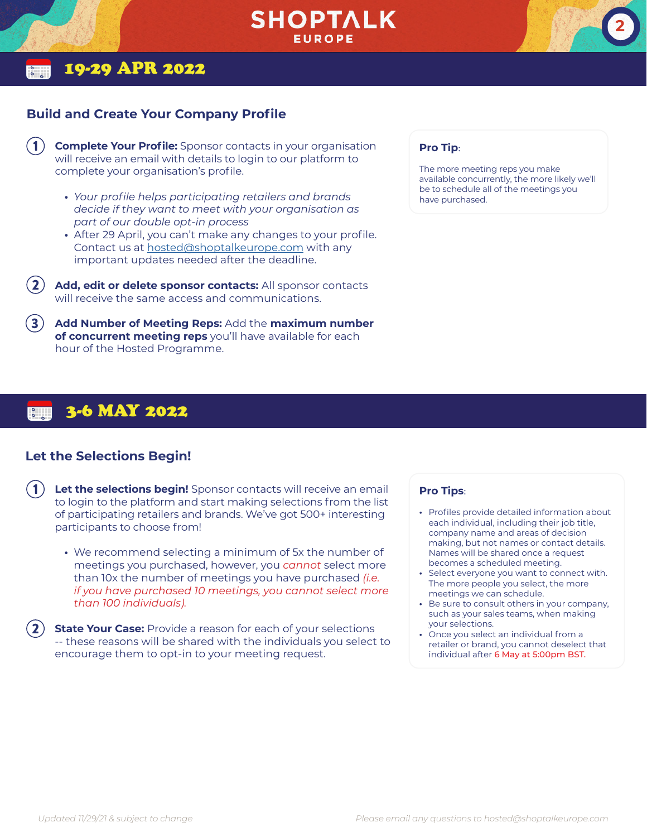

### 19-29 APR 2022

#### <span id="page-1-0"></span>**Build and Create Your Company Profile**

- **Complete Your Profile:** Sponsor contacts in your organisation will receive an email with details to login to our platform to complete your organisation's profile.  $\mathbf{1}$ 
	- **•** *Your profile helps participating retailers and brands decide if they want to meet with your organisation as part of our double opt-in process*
	- **•** After 29 April, you can't make any changes to your profile. Contact us at [hosted@shoptalkeurope.com](mailto:hosted%40shoptalkeurope.com?subject=) with any important updates needed after the deadline.
- **Add, edit or delete sponsor contacts:** All sponsor contacts will receive the same access and communications. 2
- **Add Number of Meeting Reps:** Add the **maximum number of concurrent meeting reps** you'll have available for each hour of the Hosted Programme. 3

# 3-6 MAY 2022

#### <span id="page-1-1"></span>**Let the Selections Begin!**

- **Let the selections begin!** Sponsor contacts will receive an email 1 **Pro Tips**: to login to the platform and start making selections from the list of participating retailers and brands. We've got 500+ interesting participants to choose from!
	- **•** We recommend selecting a minimum of 5x the number of meetings you purchased, however, you *cannot* select more than 10x the number of meetings you have purchased *(i.e. if you have purchased 10 meetings, you cannot select more than 100 individuals).*
- **State Your Case:** Provide a reason for each of your selections -- these reasons will be shared with the individuals you select to encourage them to opt-in to your meeting request. 2

#### **Pro Tip**:

The more meeting reps you make available concurrently, the more likely we'll be to schedule all of the meetings you have purchased.

**2**

- **•** Profiles provide detailed information about each individual, including their job title, company name and areas of decision making, but not names or contact details. Names will be shared once a request becomes a scheduled meeting.
- **•** Select everyone you want to connect with. The more people you select, the more meetings we can schedule.
- **•** Be sure to consult others in your company, such as your sales teams, when making your selections.
- **•** Once you select an individual from a retailer or brand, you cannot deselect that individual after 6 May at 5:00pm BST.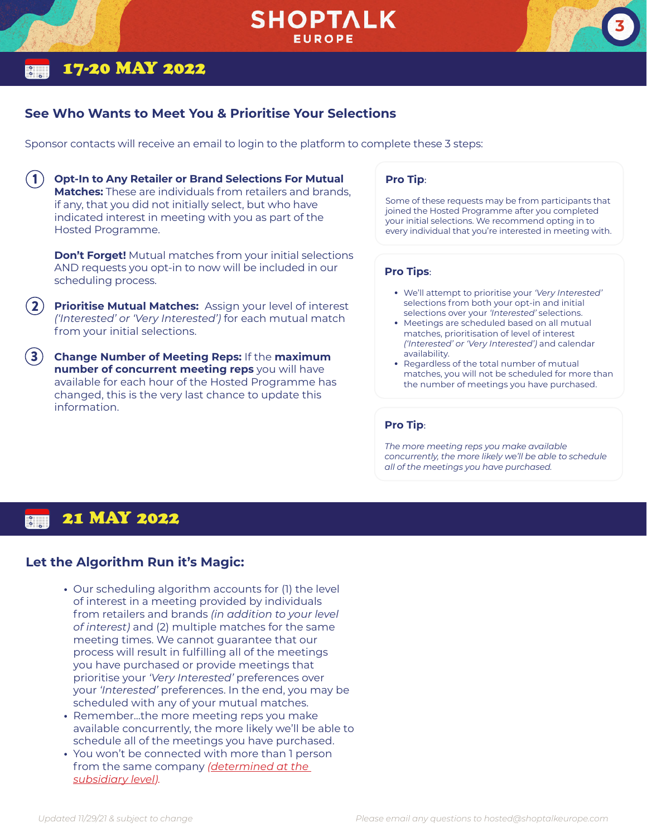## **SHOPTALK EUROPE**

### 17-20 MAY 2022

1

### <span id="page-2-0"></span>**See Who Wants to Meet You & Prioritise Your Selections**

Sponsor contacts will receive an email to login to the platform to complete these 3 steps:

**Opt-In to Any Retailer or Brand Selections For Mutual Matches:** These are individuals from retailers and brands, if any, that you did not initially select, but who have indicated interest in meeting with you as part of the Hosted Programme.

**Don't Forget!** Mutual matches from your initial selections AND requests you opt-in to now will be included in our scheduling process.

**Prioritise Mutual Matches:** Assign your level of interest *('Interested' or 'Very Interested')* for each mutual match from your initial selections. 2

3 **Change Number of Meeting Reps:** If the **maximum number of concurrent meeting reps** you will have available for each hour of the Hosted Programme has changed, this is the very last chance to update this information.

#### **Pro Tip**:

Some of these requests may be from participants that joined the Hosted Programme after you completed your initial selections. We recommend opting in to every individual that you're interested in meeting with.

**3**

#### **Pro Tips**:

- **•** We'll attempt to prioritise your *'Very Interested'* selections from both your opt-in and initial selections over your *'Interested'* selections.
- **•** Meetings are scheduled based on all mutual matches, prioritisation of level of interest *('Interested' or 'Very Interested')* and calendar availability.
- **•** Regardless of the total number of mutual matches, you will not be scheduled for more than the number of meetings you have purchased.

#### **Pro Tip**:

*The more meeting reps you make available concurrently, the more likely we'll be able to schedule all of the meetings you have purchased.* 

#### 21 MAY 2022  $\overline{\phantom{a}}$

### **Let the Algorithm Run it's Magic:**

- **•** Our scheduling algorithm accounts for (1) the level of interest in a meeting provided by individuals from retailers and brands *(in addition to your level of interest)* and (2) multiple matches for the same meeting times. We cannot guarantee that our process will result in fulfilling all of the meetings you have purchased or provide meetings that prioritise your *'Very Interested'* preferences over your *'Interested'* preferences. In the end, you may be scheduled with any of your mutual matches.
- **•** Remember...the more meeting reps you make available concurrently, the more likely we'll be able to schedule all of the meetings you have purchased.
- **•** You won't be connected with more than 1 person from the same company *(determined at the subsidiary level).*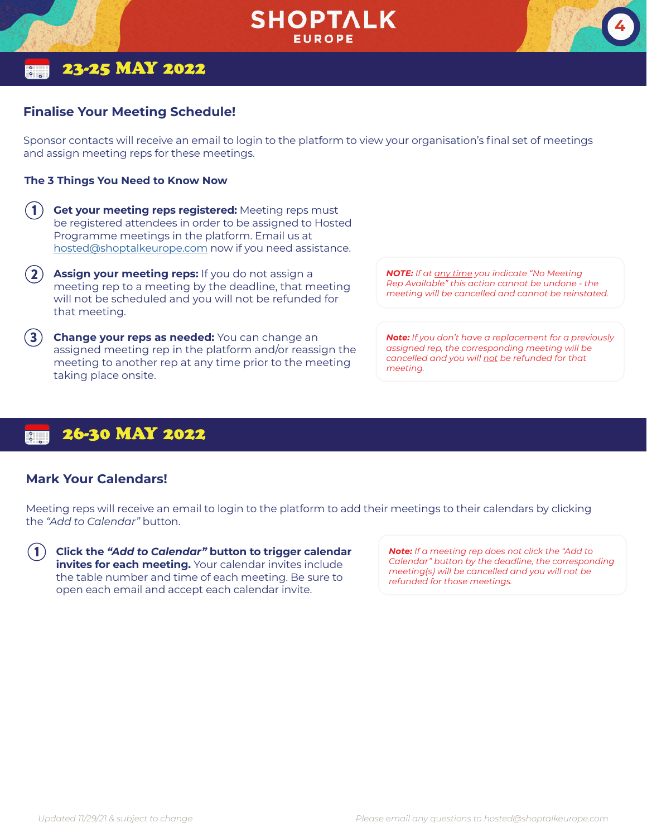

### 23-25 MAY 2022

#### <span id="page-3-0"></span>**Finalise Your Meeting Schedule!**

Sponsor contacts will receive an email to login to the platform to view your organisation's final set of meetings and assign meeting reps for these meetings.

#### **The 3 Things You Need to Know Now**

- **Get your meeting reps registered:** Meeting reps must be registered attendees in order to be assigned to Hosted Programme meetings in the platform. Email us at [hosted@shoptalkeurope.com](mailto:hosted%40shoptalkeurope.com?subject=) now if you need assistance. 1
- **Assign your meeting reps:** If you do not assign a meeting rep to a meeting by the deadline, that meeting will not be scheduled and you will not be refunded for that meeting. 2
- 3 **Change your reps as needed:** You can change an assigned meeting rep in the platform and/or reassign the meeting to another rep at any time prior to the meeting taking place onsite.

*NOTE: If at any time you indicate "No Meeting Rep Available" this action cannot be undone - the meeting will be cancelled and cannot be reinstated.* **4**

*Note: If you don't have a replacement for a previously assigned rep, the corresponding meeting will be cancelled and you will not be refunded for that meeting.*

### 26-30 MAY 2022

#### <span id="page-3-1"></span>**Mark Your Calendars!**

Meeting reps will receive an email to login to the platform to add their meetings to their calendars by clicking the *"Add to Calendar"* button.

**Click the** *"Add to Calendar"* **button to trigger calendar invites for each meeting.** Your calendar invites include the table number and time of each meeting. Be sure to open each email and accept each calendar invite.  $(1)$ 

*Note: If a meeting rep does not click the "Add to Calendar" button by the deadline, the corresponding meeting(s) will be cancelled and you will not be refunded for those meetings.*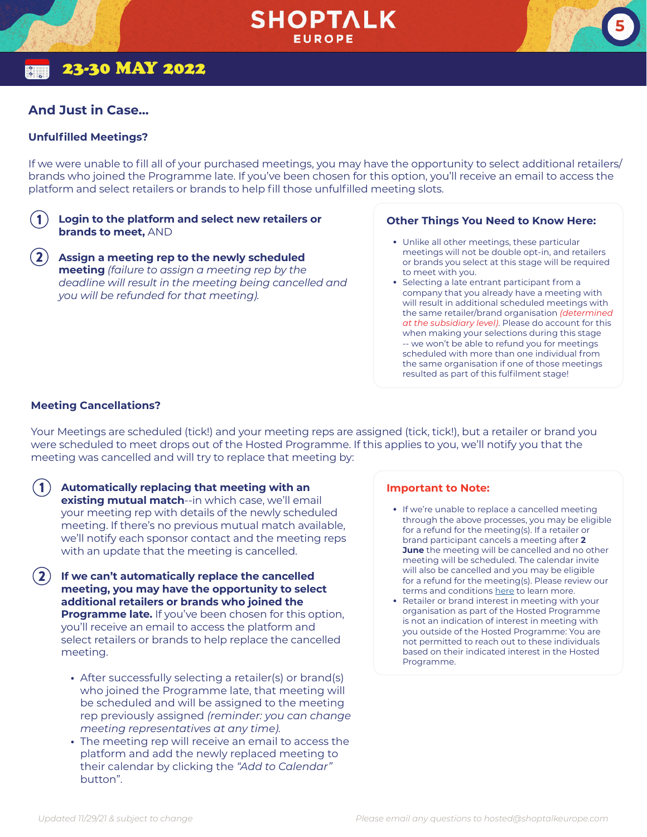### 23-30 MAY 2022

#### **And Just in Case…**

#### <span id="page-4-0"></span>**Unfulfilled Meetings?**

If we were unable to fill all of your purchased meetings, you may have the opportunity to select additional retailers/ brands who joined the Programme late. If you've been chosen for this option, you'll receive an email to access the platform and select retailers or brands to help fill those unfulfilled meeting slots.

#### **Login to the platform and select new retailers or brands to meet,** AND 1

**Assign a meeting rep to the newly scheduled meeting** *(failure to assign a meeting rep by the deadline will result in the meeting being cancelled and you will be refunded for that meeting).* 2

#### **Other Things You Need to Know Here:**

**•** Unlike all other meetings, these particular meetings will not be double opt-in, and retailers or brands you select at this stage will be required to meet with you.

**5**

**•** Selecting a late entrant participant from a company that you already have a meeting with will result in additional scheduled meetings with the same retailer/brand organisation *(determined at the subsidiary level)*. Please do account for this when making your selections during this stage -- we won't be able to refund you for meetings scheduled with more than one individual from the same organisation if one of those meetings resulted as part of this fulfilment stage!

#### <span id="page-4-1"></span>**Meeting Cancellations?**

Your Meetings are scheduled (tick!) and your meeting reps are assigned (tick, tick!), but a retailer or brand you were scheduled to meet drops out of the Hosted Programme. If this applies to you, we'll notify you that the meeting was cancelled and will try to replace that meeting by:

- **Automatically replacing that meeting with an existing mutual match**--in which case, we'll email your meeting rep with details of the newly scheduled meeting. If there's no previous mutual match available, we'll notify each sponsor contact and the meeting reps with an update that the meeting is cancelled. 1
- **If we can't automatically replace the cancelled meeting, you may have the opportunity to select additional retailers or brands who joined the Programme late.** If you've been chosen for this option, you'll receive an email to access the platform and select retailers or brands to help replace the cancelled meeting. 2
	- **•** After successfully selecting a retailer(s) or brand(s) who joined the Programme late, that meeting will be scheduled and will be assigned to the meeting rep previously assigned *(reminder: you can change meeting representatives at any time).*
	- **•** The meeting rep will receive an email to access the platform and add the newly replaced meeting to their calendar by clicking the *"Add to Calendar"* button".

#### **Important to Note:**

- **•** If we're unable to replace a cancelled meeting through the above processes, you may be eligible for a refund for the meeting(s). If a retailer or brand participant cancels a meeting after **2 June** the meeting will be cancelled and no other meeting will be scheduled. The calendar invite will also be cancelled and you may be eligible for a refund for the meeting(s). Please review our terms and conditions [here](https://shoptalkeurope.com/page/hosted-terms-sponsors) to learn more.
- **•** Retailer or brand interest in meeting with your organisation as part of the Hosted Programme is not an indication of interest in meeting with you outside of the Hosted Programme: You are not permitted to reach out to these individuals based on their indicated interest in the Hosted Programme.